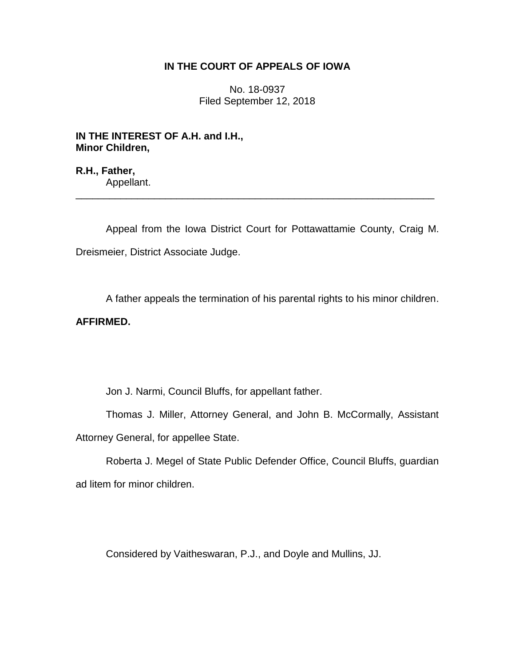## **IN THE COURT OF APPEALS OF IOWA**

No. 18-0937 Filed September 12, 2018

**IN THE INTEREST OF A.H. and I.H., Minor Children,**

**R.H., Father,** Appellant.

Appeal from the Iowa District Court for Pottawattamie County, Craig M. Dreismeier, District Associate Judge.

\_\_\_\_\_\_\_\_\_\_\_\_\_\_\_\_\_\_\_\_\_\_\_\_\_\_\_\_\_\_\_\_\_\_\_\_\_\_\_\_\_\_\_\_\_\_\_\_\_\_\_\_\_\_\_\_\_\_\_\_\_\_\_\_

A father appeals the termination of his parental rights to his minor children.

## **AFFIRMED.**

Jon J. Narmi, Council Bluffs, for appellant father.

Thomas J. Miller, Attorney General, and John B. McCormally, Assistant Attorney General, for appellee State.

Roberta J. Megel of State Public Defender Office, Council Bluffs, guardian ad litem for minor children.

Considered by Vaitheswaran, P.J., and Doyle and Mullins, JJ.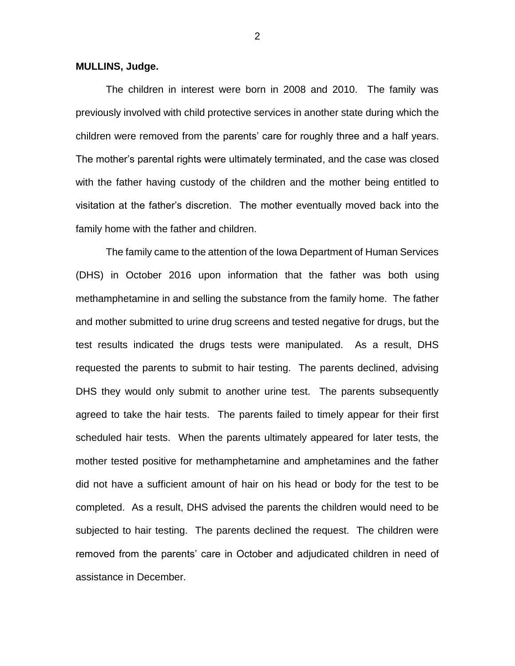## **MULLINS, Judge.**

The children in interest were born in 2008 and 2010. The family was previously involved with child protective services in another state during which the children were removed from the parents' care for roughly three and a half years. The mother's parental rights were ultimately terminated, and the case was closed with the father having custody of the children and the mother being entitled to visitation at the father's discretion. The mother eventually moved back into the family home with the father and children.

The family came to the attention of the Iowa Department of Human Services (DHS) in October 2016 upon information that the father was both using methamphetamine in and selling the substance from the family home. The father and mother submitted to urine drug screens and tested negative for drugs, but the test results indicated the drugs tests were manipulated. As a result, DHS requested the parents to submit to hair testing. The parents declined, advising DHS they would only submit to another urine test. The parents subsequently agreed to take the hair tests. The parents failed to timely appear for their first scheduled hair tests. When the parents ultimately appeared for later tests, the mother tested positive for methamphetamine and amphetamines and the father did not have a sufficient amount of hair on his head or body for the test to be completed. As a result, DHS advised the parents the children would need to be subjected to hair testing. The parents declined the request. The children were removed from the parents' care in October and adjudicated children in need of assistance in December.

2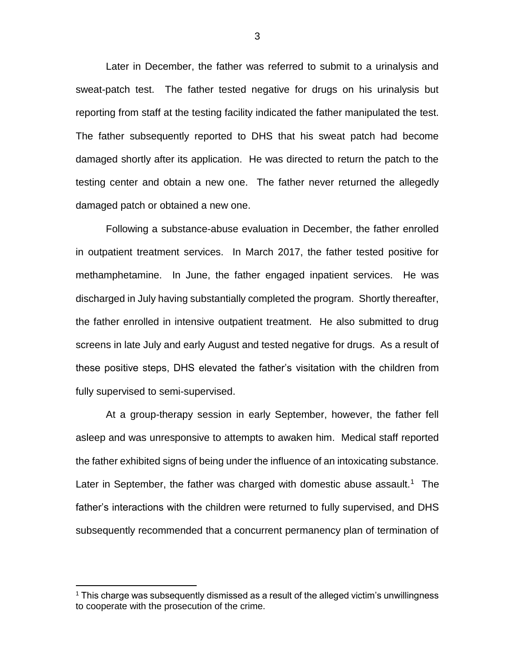Later in December, the father was referred to submit to a urinalysis and sweat-patch test. The father tested negative for drugs on his urinalysis but reporting from staff at the testing facility indicated the father manipulated the test. The father subsequently reported to DHS that his sweat patch had become damaged shortly after its application. He was directed to return the patch to the testing center and obtain a new one. The father never returned the allegedly damaged patch or obtained a new one.

Following a substance-abuse evaluation in December, the father enrolled in outpatient treatment services. In March 2017, the father tested positive for methamphetamine. In June, the father engaged inpatient services. He was discharged in July having substantially completed the program. Shortly thereafter, the father enrolled in intensive outpatient treatment. He also submitted to drug screens in late July and early August and tested negative for drugs. As a result of these positive steps, DHS elevated the father's visitation with the children from fully supervised to semi-supervised.

At a group-therapy session in early September, however, the father fell asleep and was unresponsive to attempts to awaken him. Medical staff reported the father exhibited signs of being under the influence of an intoxicating substance. Later in September, the father was charged with domestic abuse assault.<sup>1</sup> The father's interactions with the children were returned to fully supervised, and DHS subsequently recommended that a concurrent permanency plan of termination of

 $\overline{a}$ 

<sup>&</sup>lt;sup>1</sup> This charge was subsequently dismissed as a result of the alleged victim's unwillingness to cooperate with the prosecution of the crime.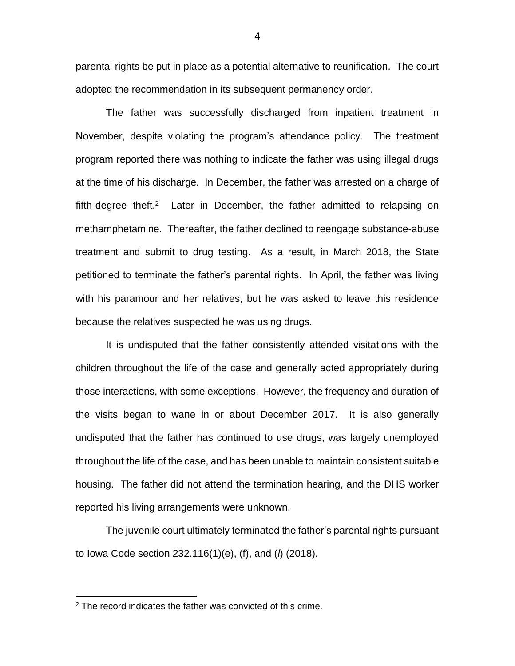parental rights be put in place as a potential alternative to reunification. The court adopted the recommendation in its subsequent permanency order.

The father was successfully discharged from inpatient treatment in November, despite violating the program's attendance policy. The treatment program reported there was nothing to indicate the father was using illegal drugs at the time of his discharge. In December, the father was arrested on a charge of fifth-degree theft.<sup>2</sup> Later in December, the father admitted to relapsing on methamphetamine. Thereafter, the father declined to reengage substance-abuse treatment and submit to drug testing. As a result, in March 2018, the State petitioned to terminate the father's parental rights. In April, the father was living with his paramour and her relatives, but he was asked to leave this residence because the relatives suspected he was using drugs.

It is undisputed that the father consistently attended visitations with the children throughout the life of the case and generally acted appropriately during those interactions, with some exceptions. However, the frequency and duration of the visits began to wane in or about December 2017. It is also generally undisputed that the father has continued to use drugs, was largely unemployed throughout the life of the case, and has been unable to maintain consistent suitable housing. The father did not attend the termination hearing, and the DHS worker reported his living arrangements were unknown.

The juvenile court ultimately terminated the father's parental rights pursuant to Iowa Code section 232.116(1)(e), (f), and (*l*) (2018).

 $\overline{a}$ 

 $2$  The record indicates the father was convicted of this crime.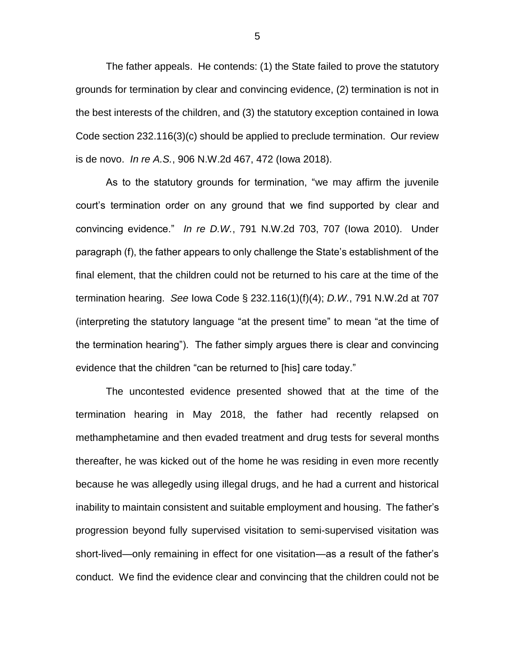The father appeals. He contends: (1) the State failed to prove the statutory grounds for termination by clear and convincing evidence, (2) termination is not in the best interests of the children, and (3) the statutory exception contained in Iowa Code section 232.116(3)(c) should be applied to preclude termination. Our review is de novo. *In re A.S.*, 906 N.W.2d 467, 472 (Iowa 2018).

As to the statutory grounds for termination, "we may affirm the juvenile court's termination order on any ground that we find supported by clear and convincing evidence." *In re D.W.*, 791 N.W.2d 703, 707 (Iowa 2010). Under paragraph (f), the father appears to only challenge the State's establishment of the final element, that the children could not be returned to his care at the time of the termination hearing. *See* Iowa Code § 232.116(1)(f)(4); *D.W.*, 791 N.W.2d at 707 (interpreting the statutory language "at the present time" to mean "at the time of the termination hearing"). The father simply argues there is clear and convincing evidence that the children "can be returned to [his] care today."

The uncontested evidence presented showed that at the time of the termination hearing in May 2018, the father had recently relapsed on methamphetamine and then evaded treatment and drug tests for several months thereafter, he was kicked out of the home he was residing in even more recently because he was allegedly using illegal drugs, and he had a current and historical inability to maintain consistent and suitable employment and housing. The father's progression beyond fully supervised visitation to semi-supervised visitation was short-lived—only remaining in effect for one visitation—as a result of the father's conduct. We find the evidence clear and convincing that the children could not be

5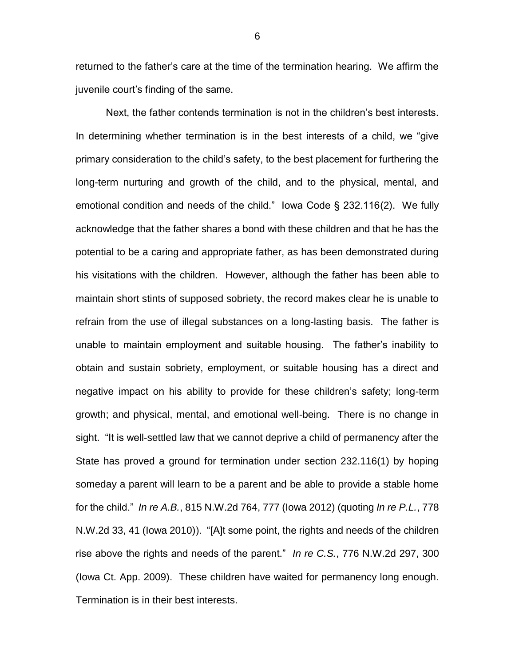returned to the father's care at the time of the termination hearing. We affirm the juvenile court's finding of the same.

Next, the father contends termination is not in the children's best interests. In determining whether termination is in the best interests of a child, we "give primary consideration to the child's safety, to the best placement for furthering the long-term nurturing and growth of the child, and to the physical, mental, and emotional condition and needs of the child." Iowa Code § 232.116(2). We fully acknowledge that the father shares a bond with these children and that he has the potential to be a caring and appropriate father, as has been demonstrated during his visitations with the children. However, although the father has been able to maintain short stints of supposed sobriety, the record makes clear he is unable to refrain from the use of illegal substances on a long-lasting basis. The father is unable to maintain employment and suitable housing. The father's inability to obtain and sustain sobriety, employment, or suitable housing has a direct and negative impact on his ability to provide for these children's safety; long-term growth; and physical, mental, and emotional well-being. There is no change in sight. "It is well-settled law that we cannot deprive a child of permanency after the State has proved a ground for termination under section 232.116(1) by hoping someday a parent will learn to be a parent and be able to provide a stable home for the child." *In re A.B.*, 815 N.W.2d 764, 777 (Iowa 2012) (quoting *In re P.L.*, 778 N.W.2d 33, 41 (Iowa 2010)). "[A]t some point, the rights and needs of the children rise above the rights and needs of the parent." *In re C.S.*, 776 N.W.2d 297, 300 (Iowa Ct. App. 2009). These children have waited for permanency long enough. Termination is in their best interests.